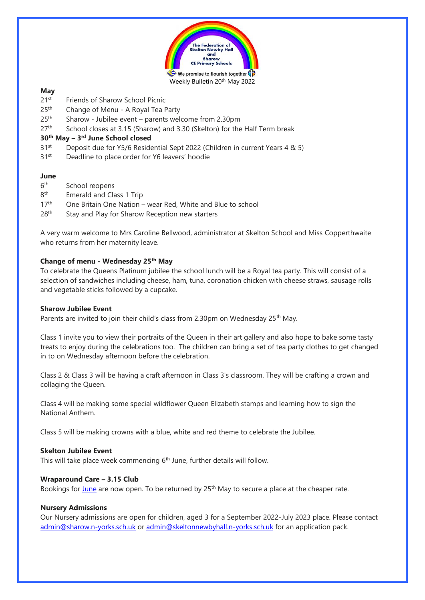

## **May**

- 21st Friends of Sharow School Picnic
- $25<sup>th</sup>$ Change of Menu - A Royal Tea Party
- 25<sup>th</sup> Sharow Jubilee event parents welcome from 2.30pm
- $27<sup>th</sup>$  School closes at 3.15 (Sharow) and 3.30 (Skelton) for the Half Term break

## **30th May – 3 rd June School closed**

- $31<sup>st</sup>$  Deposit due for Y5/6 Residential Sept 2022 (Children in current Years 4 & 5)
- 31<sup>st</sup> Deadline to place order for Y6 leavers' hoodie

## **June**

- $6th$ School reopens
- 8<sup>th</sup> Emerald and Class 1 Trip
- 17<sup>th</sup> One Britain One Nation wear Red, White and Blue to school
- 28<sup>th</sup> Stay and Play for Sharow Reception new starters

A very warm welcome to Mrs Caroline Bellwood, administrator at Skelton School and Miss Copperthwaite who returns from her maternity leave.

## **Change of menu - Wednesday 25th May**

To celebrate the Queens Platinum jubilee the school lunch will be a Royal tea party. This will consist of a selection of sandwiches including cheese, ham, tuna, coronation chicken with cheese straws, sausage rolls and vegetable sticks followed by a cupcake.

## **Sharow Jubilee Event**

Parents are invited to join their child's class from 2.30pm on Wednesday 25<sup>th</sup> May.

Class 1 invite you to view their portraits of the Queen in their art gallery and also hope to bake some tasty treats to enjoy during the celebrations too. The children can bring a set of tea party clothes to get changed in to on Wednesday afternoon before the celebration.

Class 2 & Class 3 will be having a craft afternoon in Class 3's classroom. They will be crafting a crown and collaging the Queen.

Class 4 will be making some special wildflower Queen Elizabeth stamps and learning how to sign the National Anthem.

Class 5 will be making crowns with a blue, white and red theme to celebrate the Jubilee.

# **Skelton Jubilee Event**

This will take place week commencing  $6<sup>th</sup>$  June, further details will follow.

## **Wraparound Care – 3.15 Club**

Bookings for [June](https://www.sharow.n-yorks.sch.uk/sites/default/files/attachments/weekly-booking-form-june_2022.pdf) are now open. To be returned by 25<sup>th</sup> May to secure a place at the cheaper rate.

#### **Nursery Admissions**

Our Nursery admissions are open for children, aged 3 for a September 2022-July 2023 place. Please contact [admin@sharow.n-yorks.sch.uk](mailto:admin@sharow.n-yorks.sch.uk) or [admin@skeltonnewbyhall.n-yorks.sch.uk](mailto:admin@skeltonnewbyhall.n-yorks.sch.uk) for an application pack.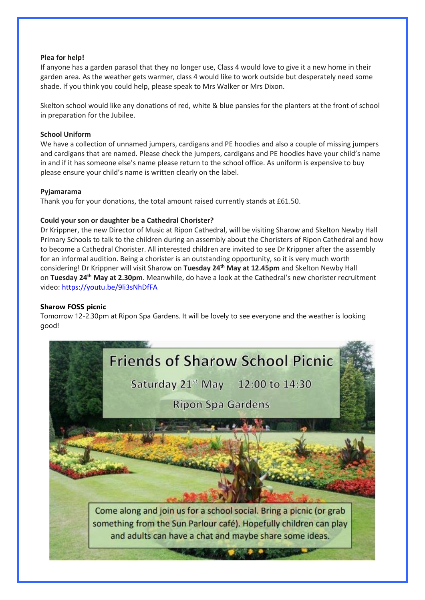## **Plea for help!**

If anyone has a garden parasol that they no longer use, Class 4 would love to give it a new home in their garden area. As the weather gets warmer, class 4 would like to work outside but desperately need some shade. If you think you could help, please speak to Mrs Walker or Mrs Dixon.

Skelton school would like any donations of red, white & blue pansies for the planters at the front of school in preparation for the Jubilee.

## **School Uniform**

We have a collection of unnamed jumpers, cardigans and PE hoodies and also a couple of missing jumpers and cardigans that are named. Please check the jumpers, cardigans and PE hoodies have your child's name in and if it has someone else's name please return to the school office. As uniform is expensive to buy please ensure your child's name is written clearly on the label.

## **Pyjamarama**

Thank you for your donations, the total amount raised currently stands at £61.50.

## **Could your son or daughter be a Cathedral Chorister?**

Dr Krippner, the new Director of Music at Ripon Cathedral, will be visiting Sharow and Skelton Newby Hall Primary Schools to talk to the children during an assembly about the Choristers of Ripon Cathedral and how to become a Cathedral Chorister. All interested children are invited to see Dr Krippner after the assembly for an informal audition. Being a chorister is an outstanding opportunity, so it is very much worth considering! Dr Krippner will visit Sharow on **Tuesday 24th May at 12.45pm** and Skelton Newby Hall on **Tuesday 24th May at 2.30pm**. Meanwhile, do have a look at the Cathedral's new chorister recruitment video: <https://youtu.be/9li3sNhDfFA>

## **Sharow FOSS picnic**

Tomorrow 12-2.30pm at Ripon Spa Gardens. It will be lovely to see everyone and the weather is looking good!